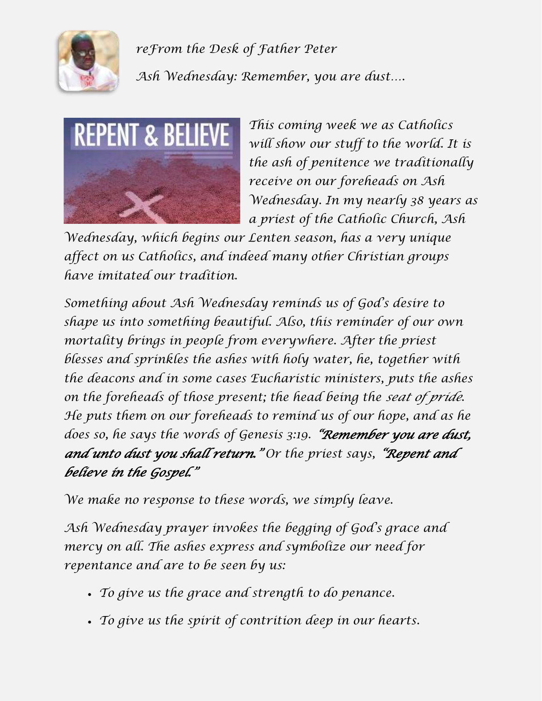

*reFrom the Desk of Father Peter Ash Wednesday: Remember, you are dust….*



*This coming week we as Catholics will show our stuff to the world. It is the ash of penitence we traditionally receive on our foreheads on Ash Wednesday. In my nearly 38 years as a priest of the Catholic Church, Ash* 

*Wednesday, which begins our Lenten season, has a very unique affect on us Catholics, and indeed many other Christian groups have imitated our tradition.*

*Something about Ash Wednesday reminds us of God's desire to shape us into something beautiful. Also, this reminder of our own mortality brings in people from everywhere. After the priest blesses and sprinkles the ashes with holy water, he, together with the deacons and in some cases Eucharistic ministers, puts the ashes on the foreheads of those present; the head being the seat of pride. He puts them on our foreheads to remind us of our hope, and as he does so, he says the words of Genesis 3:19. "Remember you are dust, and unto dust you shall return." Or the priest says, "Repent and believe in the Gospel."*

*We make no response to these words, we simply leave.*

*Ash Wednesday prayer invokes the begging of God's grace and mercy on all. The ashes express and symbolize our need for repentance and are to be seen by us:*

- *To give us the grace and strength to do penance.*
- *To give us the spirit of contrition deep in our hearts.*